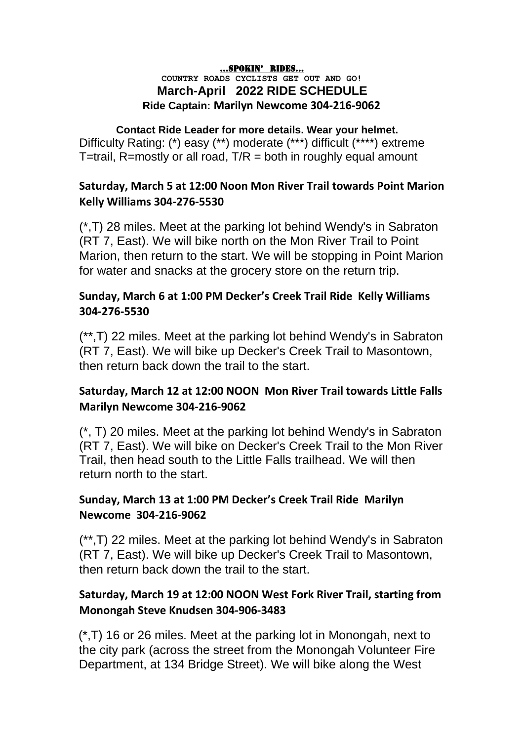#### …SPOKIN' RIDES…

#### **COUNTRY ROADS CYCLISTS GET OUT AND GO! March-April 2022 RIDE SCHEDULE Ride Captain: Marilyn Newcome 304-216-9062**

#### **Contact Ride Leader for more details. Wear your helmet.** Difficulty Rating: (\*) easy (\*\*) moderate (\*\*\*) difficult (\*\*\*\*) extreme T=trail, R=mostly or all road,  $T/R =$  both in roughly equal amount

#### **Saturday, March 5 at 12:00 Noon Mon River Trail towards Point Marion Kelly Williams 304-276-5530**

(\*,T) 28 miles. Meet at the parking lot behind Wendy's in Sabraton (RT 7, East). We will bike north on the Mon River Trail to Point Marion, then return to the start. We will be stopping in Point Marion for water and snacks at the grocery store on the return trip.

#### **Sunday, March 6 at 1:00 PM Decker's Creek Trail Ride Kelly Williams 304-276-5530**

(\*\*,T) 22 miles. Meet at the parking lot behind Wendy's in Sabraton (RT 7, East). We will bike up Decker's Creek Trail to Masontown, then return back down the trail to the start.

#### **Saturday, March 12 at 12:00 NOON Mon River Trail towards Little Falls Marilyn Newcome 304-216-9062**

(\*, T) 20 miles. Meet at the parking lot behind Wendy's in Sabraton (RT 7, East). We will bike on Decker's Creek Trail to the Mon River Trail, then head south to the Little Falls trailhead. We will then return north to the start.

#### **Sunday, March 13 at 1:00 PM Decker's Creek Trail Ride Marilyn Newcome 304-216-9062**

(\*\*,T) 22 miles. Meet at the parking lot behind Wendy's in Sabraton (RT 7, East). We will bike up Decker's Creek Trail to Masontown, then return back down the trail to the start.

## **Saturday, March 19 at 12:00 NOON West Fork River Trail, starting from Monongah Steve Knudsen 304-906-3483**

(\*,T) 16 or 26 miles. Meet at the parking lot in Monongah, next to the city park (across the street from the Monongah Volunteer Fire Department, at 134 Bridge Street). We will bike along the West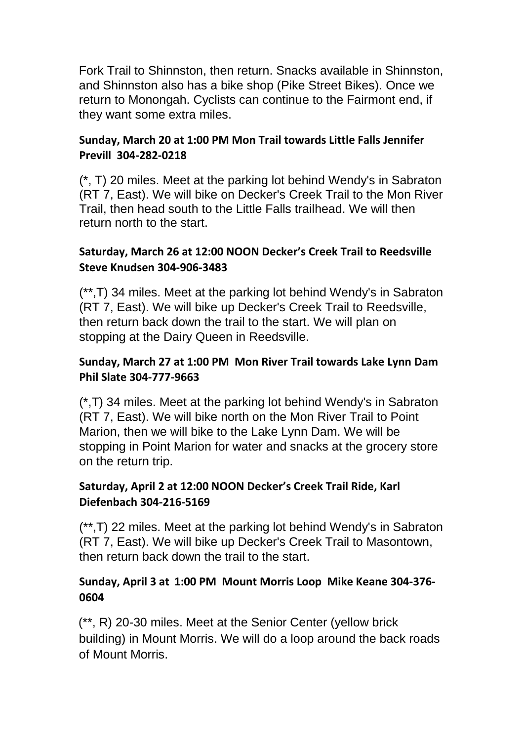Fork Trail to Shinnston, then return. Snacks available in Shinnston, and Shinnston also has a bike shop (Pike Street Bikes). Once we return to Monongah. Cyclists can continue to the Fairmont end, if they want some extra miles.

#### **Sunday, March 20 at 1:00 PM Mon Trail towards Little Falls Jennifer Previll 304-282-0218**

(\*, T) 20 miles. Meet at the parking lot behind Wendy's in Sabraton (RT 7, East). We will bike on Decker's Creek Trail to the Mon River Trail, then head south to the Little Falls trailhead. We will then return north to the start.

#### **Saturday, March 26 at 12:00 NOON Decker's Creek Trail to Reedsville Steve Knudsen 304-906-3483**

(\*\*,T) 34 miles. Meet at the parking lot behind Wendy's in Sabraton (RT 7, East). We will bike up Decker's Creek Trail to Reedsville, then return back down the trail to the start. We will plan on stopping at the Dairy Queen in Reedsville.

#### **Sunday, March 27 at 1:00 PM Mon River Trail towards Lake Lynn Dam Phil Slate 304-777-9663**

(\*,T) 34 miles. Meet at the parking lot behind Wendy's in Sabraton (RT 7, East). We will bike north on the Mon River Trail to Point Marion, then we will bike to the Lake Lynn Dam. We will be stopping in Point Marion for water and snacks at the grocery store on the return trip.

## **Saturday, April 2 at 12:00 NOON Decker's Creek Trail Ride, Karl Diefenbach 304-216-5169**

(\*\*,T) 22 miles. Meet at the parking lot behind Wendy's in Sabraton (RT 7, East). We will bike up Decker's Creek Trail to Masontown, then return back down the trail to the start.

#### **Sunday, April 3 at 1:00 PM Mount Morris Loop Mike Keane 304-376- 0604**

(\*\*, R) 20-30 miles. Meet at the Senior Center (yellow brick building) in Mount Morris. We will do a loop around the back roads of Mount Morris.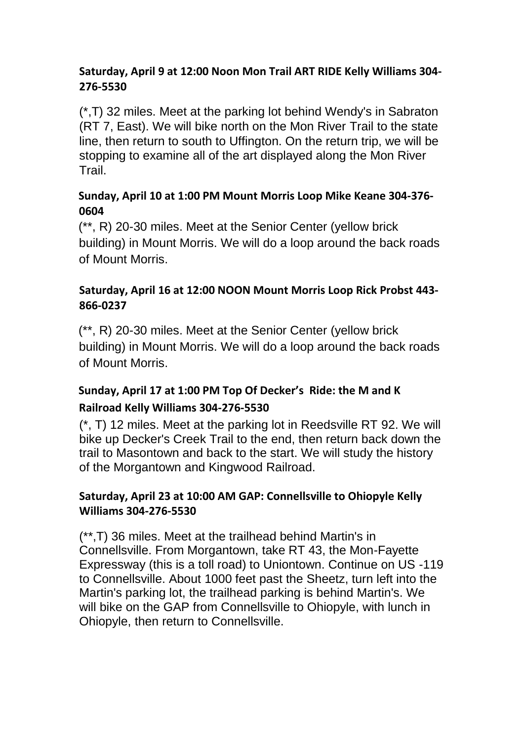#### **Saturday, April 9 at 12:00 Noon Mon Trail ART RIDE Kelly Williams 304- 276-5530**

(\*,T) 32 miles. Meet at the parking lot behind Wendy's in Sabraton (RT 7, East). We will bike north on the Mon River Trail to the state line, then return to south to Uffington. On the return trip, we will be stopping to examine all of the art displayed along the Mon River **Trail** 

## **Sunday, April 10 at 1:00 PM Mount Morris Loop Mike Keane 304-376- 0604**

(\*\*, R) 20-30 miles. Meet at the Senior Center (yellow brick building) in Mount Morris. We will do a loop around the back roads of Mount Morris.

## **Saturday, April 16 at 12:00 NOON Mount Morris Loop Rick Probst 443- 866-0237**

(\*\*, R) 20-30 miles. Meet at the Senior Center (yellow brick building) in Mount Morris. We will do a loop around the back roads of Mount Morris.

# **Sunday, April 17 at 1:00 PM Top Of Decker's Ride: the M and K Railroad Kelly Williams 304-276-5530**

(\*, T) 12 miles. Meet at the parking lot in Reedsville RT 92. We will bike up Decker's Creek Trail to the end, then return back down the trail to Masontown and back to the start. We will study the history of the Morgantown and Kingwood Railroad.

#### **Saturday, April 23 at 10:00 AM GAP: Connellsville to Ohiopyle Kelly Williams 304-276-5530**

(\*\*,T) 36 miles. Meet at the trailhead behind Martin's in Connellsville. From Morgantown, take RT 43, the Mon-Fayette Expressway (this is a toll road) to Uniontown. Continue on US -119 to Connellsville. About 1000 feet past the Sheetz, turn left into the Martin's parking lot, the trailhead parking is behind Martin's. We will bike on the GAP from Connellsville to Ohiopyle, with lunch in Ohiopyle, then return to Connellsville.